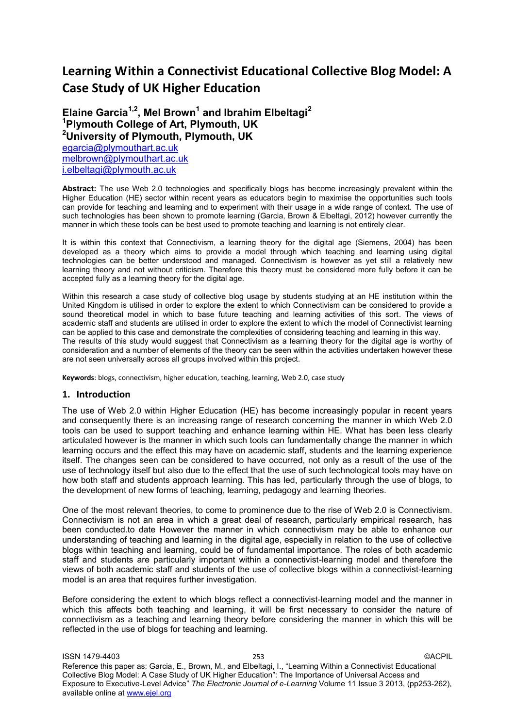# **Learning Within a Connectivist Educational Collective Blog Model: A Case Study of UK Higher Education**

# **Elaine Garcia1,2, Mel Brown<sup>1</sup> and Ibrahim Elbeltagi<sup>2</sup> <sup>1</sup>Plymouth College of Art, Plymouth, UK <sup>2</sup>University of Plymouth, Plymouth, UK**  [egarcia@plymouthart.ac.uk](mailto:egarcia@plymouthart.ac.uk) [melbrown@plymouthart.ac.uk](mailto:melbrown@plymouthart.ac.uk) [i.elbeltagi@plymouth.ac.uk](mailto:i.elbeltagi@wlv.ac.uk)

**Abstract:** The use Web 2.0 technologies and specifically blogs has become increasingly prevalent within the Higher Education (HE) sector within recent years as educators begin to maximise the opportunities such tools can provide for teaching and learning and to experiment with their usage in a wide range of context. The use of such technologies has been shown to promote learning (Garcia, Brown & Elbeltagi, 2012) however currently the manner in which these tools can be best used to promote teaching and learning is not entirely clear.

It is within this context that Connectivism, a learning theory for the digital age (Siemens, 2004) has been developed as a theory which aims to provide a model through which teaching and learning using digital technologies can be better understood and managed. Connectivism is however as yet still a relatively new learning theory and not without criticism. Therefore this theory must be considered more fully before it can be accepted fully as a learning theory for the digital age.

Within this research a case study of collective blog usage by students studying at an HE institution within the United Kingdom is utilised in order to explore the extent to which Connectivism can be considered to provide a sound theoretical model in which to base future teaching and learning activities of this sort. The views of academic staff and students are utilised in order to explore the extent to which the model of Connectivist learning can be applied to this case and demonstrate the complexities of considering teaching and learning in this way. The results of this study would suggest that Connectivism as a learning theory for the digital age is worthy of consideration and a number of elements of the theory can be seen within the activities undertaken however these are not seen universally across all groups involved within this project.

**Keywords**: blogs, connectivism, higher education, teaching, learning, Web 2.0, case study

#### **1. Introduction**

The use of Web 2.0 within Higher Education (HE) has become increasingly popular in recent years and consequently there is an increasing range of research concerning the manner in which Web 2.0 tools can be used to support teaching and enhance learning within HE. What has been less clearly articulated however is the manner in which such tools can fundamentally change the manner in which learning occurs and the effect this may have on academic staff, students and the learning experience itself. The changes seen can be considered to have occurred, not only as a result of the use of the use of technology itself but also due to the effect that the use of such technological tools may have on how both staff and students approach learning. This has led, particularly through the use of blogs, to the development of new forms of teaching, learning, pedagogy and learning theories.

One of the most relevant theories, to come to prominence due to the rise of Web 2.0 is Connectivism. Connectivism is not an area in which a great deal of research, particularly empirical research, has been conducted.to date However the manner in which connectivism may be able to enhance our understanding of teaching and learning in the digital age, especially in relation to the use of collective blogs within teaching and learning, could be of fundamental importance. The roles of both academic staff and students are particularly important within a connectivist-learning model and therefore the views of both academic staff and students of the use of collective blogs within a connectivist-learning model is an area that requires further investigation.

Before considering the extent to which blogs reflect a connectivist-learning model and the manner in which this affects both teaching and learning, it will be first necessary to consider the nature of connectivism as a teaching and learning theory before considering the manner in which this will be reflected in the use of blogs for teaching and learning.

ISSN 1479-4403 253 ©ACPIL Reference this paper as: Garcia, E., Brown, M., and Elbeltagi, I., "Learning Within a Connectivist Educational Collective Blog Model: A Case Study of UK Higher Education": The Importance of Universal Access and Exposure to Executive-Level Advice" *The Electronic Journal of e-Learning* Volume 11 Issue 3 2013, (pp253-262), available online at www.ejel.org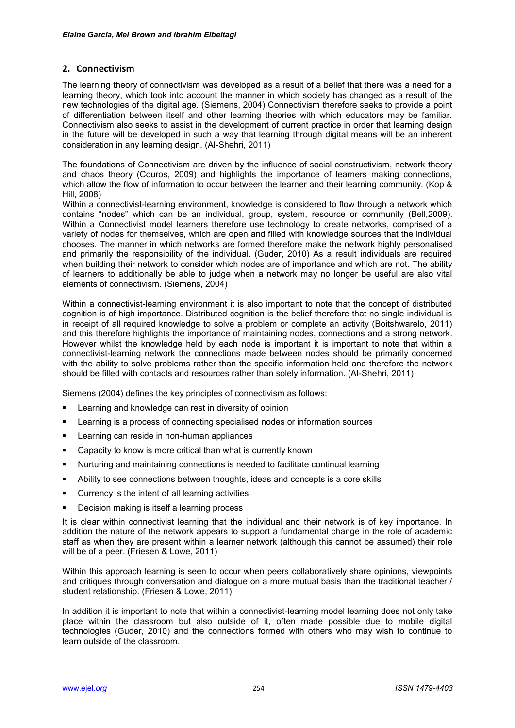## **2. Connectivism**

The learning theory of connectivism was developed as a result of a belief that there was a need for a learning theory, which took into account the manner in which society has changed as a result of the new technologies of the digital age. (Siemens, 2004) Connectivism therefore seeks to provide a point of differentiation between itself and other learning theories with which educators may be familiar. Connectivism also seeks to assist in the development of current practice in order that learning design in the future will be developed in such a way that learning through digital means will be an inherent consideration in any learning design. (Al-Shehri, 2011)

The foundations of Connectivism are driven by the influence of social constructivism, network theory and chaos theory (Couros, 2009) and highlights the importance of learners making connections, which allow the flow of information to occur between the learner and their learning community. (Kop & Hill, 2008)

Within a connectivist-learning environment, knowledge is considered to flow through a network which contains "nodes" which can be an individual, group, system, resource or community (Bell,2009). Within a Connectivist model learners therefore use technology to create networks, comprised of a variety of nodes for themselves, which are open and filled with knowledge sources that the individual chooses. The manner in which networks are formed therefore make the network highly personalised and primarily the responsibility of the individual. (Guder, 2010) As a result individuals are required when building their network to consider which nodes are of importance and which are not. The ability of learners to additionally be able to judge when a network may no longer be useful are also vital elements of connectivism. (Siemens, 2004)

Within a connectivist-learning environment it is also important to note that the concept of distributed cognition is of high importance. Distributed cognition is the belief therefore that no single individual is in receipt of all required knowledge to solve a problem or complete an activity (Boitshwarelo, 2011) and this therefore highlights the importance of maintaining nodes, connections and a strong network. However whilst the knowledge held by each node is important it is important to note that within a connectivist-learning network the connections made between nodes should be primarily concerned with the ability to solve problems rather than the specific information held and therefore the network should be filled with contacts and resources rather than solely information. (Al-Shehri, 2011)

Siemens (2004) defines the key principles of connectivism as follows:

- Learning and knowledge can rest in diversity of opinion
- Learning is a process of connecting specialised nodes or information sources
- Learning can reside in non-human appliances
- Capacity to know is more critical than what is currently known
- Nurturing and maintaining connections is needed to facilitate continual learning
- Ability to see connections between thoughts, ideas and concepts is a core skills
- Currency is the intent of all learning activities
- Decision making is itself a learning process

It is clear within connectivist learning that the individual and their network is of key importance. In addition the nature of the network appears to support a fundamental change in the role of academic staff as when they are present within a learner network (although this cannot be assumed) their role will be of a peer. (Friesen & Lowe, 2011)

Within this approach learning is seen to occur when peers collaboratively share opinions, viewpoints and critiques through conversation and dialogue on a more mutual basis than the traditional teacher / student relationship. (Friesen & Lowe, 2011)

In addition it is important to note that within a connectivist-learning model learning does not only take place within the classroom but also outside of it, often made possible due to mobile digital technologies (Guder, 2010) and the connections formed with others who may wish to continue to learn outside of the classroom.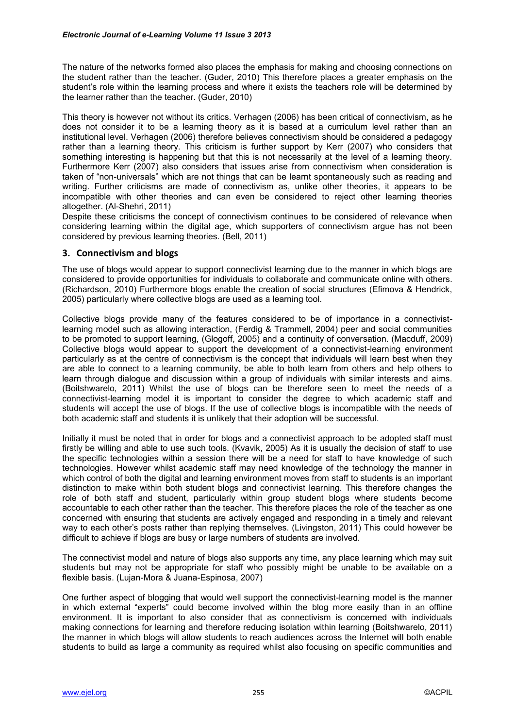The nature of the networks formed also places the emphasis for making and choosing connections on the student rather than the teacher. (Guder, 2010) This therefore places a greater emphasis on the student"s role within the learning process and where it exists the teachers role will be determined by the learner rather than the teacher. (Guder, 2010)

This theory is however not without its critics. Verhagen (2006) has been critical of connectivism, as he does not consider it to be a learning theory as it is based at a curriculum level rather than an institutional level. Verhagen (2006) therefore believes connectivism should be considered a pedagogy rather than a learning theory. This criticism is further support by Kerr (2007) who considers that something interesting is happening but that this is not necessarily at the level of a learning theory. Furthermore Kerr (2007) also considers that issues arise from connectivism when consideration is taken of "non-universals" which are not things that can be learnt spontaneously such as reading and writing. Further criticisms are made of connectivism as, unlike other theories, it appears to be incompatible with other theories and can even be considered to reject other learning theories altogether. (Al-Shehri, 2011)

Despite these criticisms the concept of connectivism continues to be considered of relevance when considering learning within the digital age, which supporters of connectivism argue has not been considered by previous learning theories. (Bell, 2011)

## **3. Connectivism and blogs**

The use of blogs would appear to support connectivist learning due to the manner in which blogs are considered to provide opportunities for individuals to collaborate and communicate online with others. (Richardson, 2010) Furthermore blogs enable the creation of social structures (Efimova & Hendrick, 2005) particularly where collective blogs are used as a learning tool.

Collective blogs provide many of the features considered to be of importance in a connectivistlearning model such as allowing interaction, (Ferdig & Trammell, 2004) peer and social communities to be promoted to support learning, (Glogoff, 2005) and a continuity of conversation. (Macduff, 2009) Collective blogs would appear to support the development of a connectivist-learning environment particularly as at the centre of connectivism is the concept that individuals will learn best when they are able to connect to a learning community, be able to both learn from others and help others to learn through dialogue and discussion within a group of individuals with similar interests and aims. (Boitshwarelo, 2011) Whilst the use of blogs can be therefore seen to meet the needs of a connectivist-learning model it is important to consider the degree to which academic staff and students will accept the use of blogs. If the use of collective blogs is incompatible with the needs of both academic staff and students it is unlikely that their adoption will be successful.

Initially it must be noted that in order for blogs and a connectivist approach to be adopted staff must firstly be willing and able to use such tools. (Kvavik, 2005) As it is usually the decision of staff to use the specific technologies within a session there will be a need for staff to have knowledge of such technologies. However whilst academic staff may need knowledge of the technology the manner in which control of both the digital and learning environment moves from staff to students is an important distinction to make within both student blogs and connectivist learning. This therefore changes the role of both staff and student, particularly within group student blogs where students become accountable to each other rather than the teacher. This therefore places the role of the teacher as one concerned with ensuring that students are actively engaged and responding in a timely and relevant way to each other"s posts rather than replying themselves. (Livingston, 2011) This could however be difficult to achieve if blogs are busy or large numbers of students are involved.

The connectivist model and nature of blogs also supports any time, any place learning which may suit students but may not be appropriate for staff who possibly might be unable to be available on a flexible basis. (Lujan-Mora & Juana-Espinosa, 2007)

One further aspect of blogging that would well support the connectivist-learning model is the manner in which external "experts" could become involved within the blog more easily than in an offline environment. It is important to also consider that as connectivism is concerned with individuals making connections for learning and therefore reducing isolation within learning (Boitshwarelo, 2011) the manner in which blogs will allow students to reach audiences across the Internet will both enable students to build as large a community as required whilst also focusing on specific communities and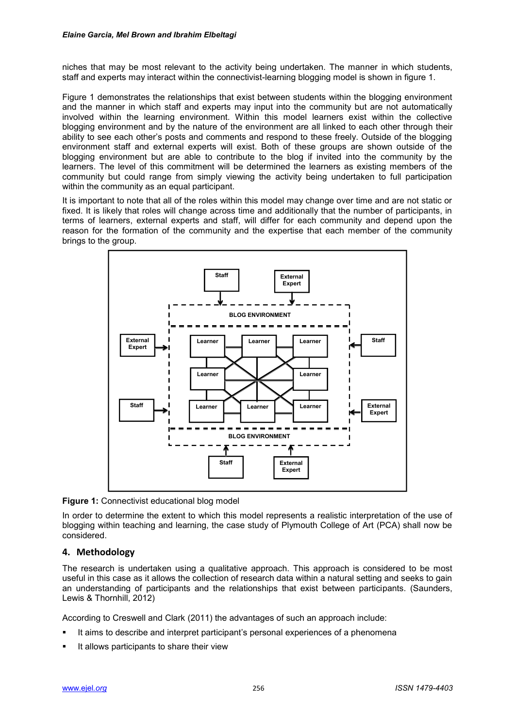niches that may be most relevant to the activity being undertaken. The manner in which students, staff and experts may interact within the connectivist-learning blogging model is shown in figure 1.

Figure 1 demonstrates the relationships that exist between students within the blogging environment and the manner in which staff and experts may input into the community but are not automatically involved within the learning environment. Within this model learners exist within the collective blogging environment and by the nature of the environment are all linked to each other through their ability to see each other"s posts and comments and respond to these freely. Outside of the blogging environment staff and external experts will exist. Both of these groups are shown outside of the blogging environment but are able to contribute to the blog if invited into the community by the learners. The level of this commitment will be determined the learners as existing members of the community but could range from simply viewing the activity being undertaken to full participation within the community as an equal participant.

It is important to note that all of the roles within this model may change over time and are not static or fixed. It is likely that roles will change across time and additionally that the number of participants, in terms of learners, external experts and staff, will differ for each community and depend upon the reason for the formation of the community and the expertise that each member of the community brings to the group.



**Figure 1:** Connectivist educational blog model

In order to determine the extent to which this model represents a realistic interpretation of the use of blogging within teaching and learning, the case study of Plymouth College of Art (PCA) shall now be considered.

# **4. Methodology**

The research is undertaken using a qualitative approach. This approach is considered to be most useful in this case as it allows the collection of research data within a natural setting and seeks to gain an understanding of participants and the relationships that exist between participants. (Saunders, Lewis & Thornhill, 2012)

According to Creswell and Clark (2011) the advantages of such an approach include:

- It aims to describe and interpret participant"s personal experiences of a phenomena
- It allows participants to share their view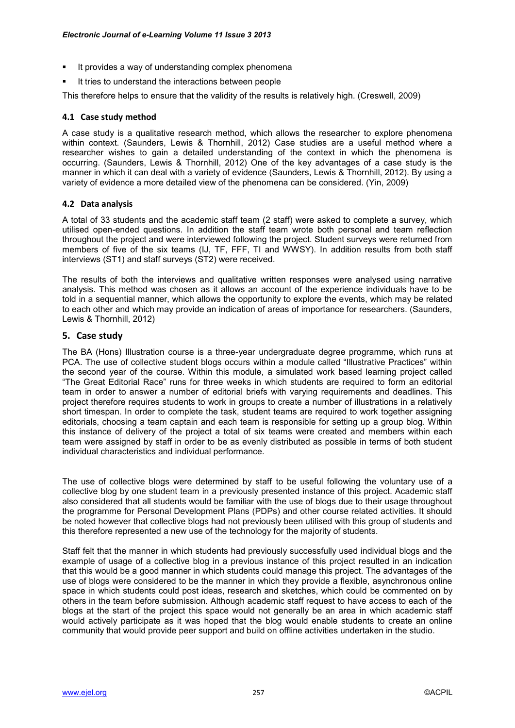- It provides a way of understanding complex phenomena
- It tries to understand the interactions between people

This therefore helps to ensure that the validity of the results is relatively high. (Creswell, 2009)

#### **4.1 Case study method**

A case study is a qualitative research method, which allows the researcher to explore phenomena within context. (Saunders, Lewis & Thornhill, 2012) Case studies are a useful method where a researcher wishes to gain a detailed understanding of the context in which the phenomena is occurring. (Saunders, Lewis & Thornhill, 2012) One of the key advantages of a case study is the manner in which it can deal with a variety of evidence (Saunders, Lewis & Thornhill, 2012). By using a variety of evidence a more detailed view of the phenomena can be considered. (Yin, 2009)

#### **4.2 Data analysis**

A total of 33 students and the academic staff team (2 staff) were asked to complete a survey, which utilised open-ended questions. In addition the staff team wrote both personal and team reflection throughout the project and were interviewed following the project. Student surveys were returned from members of five of the six teams (IJ, TF, FFF, TI and WWSY). In addition results from both staff interviews (ST1) and staff surveys (ST2) were received.

The results of both the interviews and qualitative written responses were analysed using narrative analysis. This method was chosen as it allows an account of the experience individuals have to be told in a sequential manner, which allows the opportunity to explore the events, which may be related to each other and which may provide an indication of areas of importance for researchers. (Saunders, Lewis & Thornhill, 2012)

## **5. Case study**

The BA (Hons) Illustration course is a three-year undergraduate degree programme, which runs at PCA. The use of collective student blogs occurs within a module called "Illustrative Practices" within the second year of the course. Within this module, a simulated work based learning project called "The Great Editorial Race" runs for three weeks in which students are required to form an editorial team in order to answer a number of editorial briefs with varying requirements and deadlines. This project therefore requires students to work in groups to create a number of illustrations in a relatively short timespan. In order to complete the task, student teams are required to work together assigning editorials, choosing a team captain and each team is responsible for setting up a group blog. Within this instance of delivery of the project a total of six teams were created and members within each team were assigned by staff in order to be as evenly distributed as possible in terms of both student individual characteristics and individual performance.

The use of collective blogs were determined by staff to be useful following the voluntary use of a collective blog by one student team in a previously presented instance of this project. Academic staff also considered that all students would be familiar with the use of blogs due to their usage throughout the programme for Personal Development Plans (PDPs) and other course related activities. It should be noted however that collective blogs had not previously been utilised with this group of students and this therefore represented a new use of the technology for the majority of students.

Staff felt that the manner in which students had previously successfully used individual blogs and the example of usage of a collective blog in a previous instance of this project resulted in an indication that this would be a good manner in which students could manage this project. The advantages of the use of blogs were considered to be the manner in which they provide a flexible, asynchronous online space in which students could post ideas, research and sketches, which could be commented on by others in the team before submission. Although academic staff request to have access to each of the blogs at the start of the project this space would not generally be an area in which academic staff would actively participate as it was hoped that the blog would enable students to create an online community that would provide peer support and build on offline activities undertaken in the studio.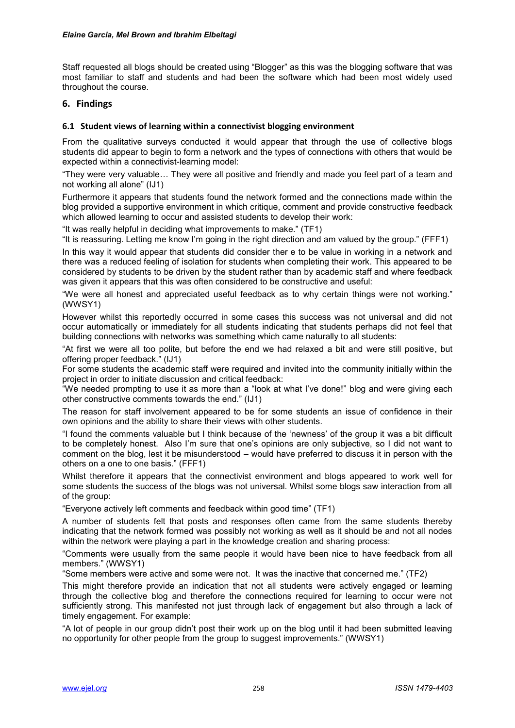Staff requested all blogs should be created using "Blogger" as this was the blogging software that was most familiar to staff and students and had been the software which had been most widely used throughout the course.

## **6. Findings**

#### **6.1 Student views of learning within a connectivist blogging environment**

From the qualitative surveys conducted it would appear that through the use of collective blogs students did appear to begin to form a network and the types of connections with others that would be expected within a connectivist-learning model:

"They were very valuable… They were all positive and friendly and made you feel part of a team and not working all alone" (IJ1)

Furthermore it appears that students found the network formed and the connections made within the blog provided a supportive environment in which critique, comment and provide constructive feedback which allowed learning to occur and assisted students to develop their work:

"It was really helpful in deciding what improvements to make." (TF1)

"It is reassuring. Letting me know I"m going in the right direction and am valued by the group." (FFF1)

In this way it would appear that students did consider ther e to be value in working in a network and there was a reduced feeling of isolation for students when completing their work. This appeared to be considered by students to be driven by the student rather than by academic staff and where feedback was given it appears that this was often considered to be constructive and useful:

"We were all honest and appreciated useful feedback as to why certain things were not working." (WWSY1)

However whilst this reportedly occurred in some cases this success was not universal and did not occur automatically or immediately for all students indicating that students perhaps did not feel that building connections with networks was something which came naturally to all students:

"At first we were all too polite, but before the end we had relaxed a bit and were still positive, but offering proper feedback." (IJ1)

For some students the academic staff were required and invited into the community initially within the project in order to initiate discussion and critical feedback:

"We needed prompting to use it as more than a "look at what I"ve done!" blog and were giving each other constructive comments towards the end." (IJ1)

The reason for staff involvement appeared to be for some students an issue of confidence in their own opinions and the ability to share their views with other students.

"I found the comments valuable but I think because of the "newness" of the group it was a bit difficult to be completely honest. Also I"m sure that one"s opinions are only subjective, so I did not want to comment on the blog, lest it be misunderstood – would have preferred to discuss it in person with the others on a one to one basis." (FFF1)

Whilst therefore it appears that the connectivist environment and blogs appeared to work well for some students the success of the blogs was not universal. Whilst some blogs saw interaction from all of the group:

"Everyone actively left comments and feedback within good time" (TF1)

A number of students felt that posts and responses often came from the same students thereby indicating that the network formed was possibly not working as well as it should be and not all nodes within the network were playing a part in the knowledge creation and sharing process:

"Comments were usually from the same people it would have been nice to have feedback from all members." (WWSY1)

"Some members were active and some were not. It was the inactive that concerned me." (TF2)

This might therefore provide an indication that not all students were actively engaged or learning through the collective blog and therefore the connections required for learning to occur were not sufficiently strong. This manifested not just through lack of engagement but also through a lack of timely engagement. For example:

"A lot of people in our group didn"t post their work up on the blog until it had been submitted leaving no opportunity for other people from the group to suggest improvements." (WWSY1)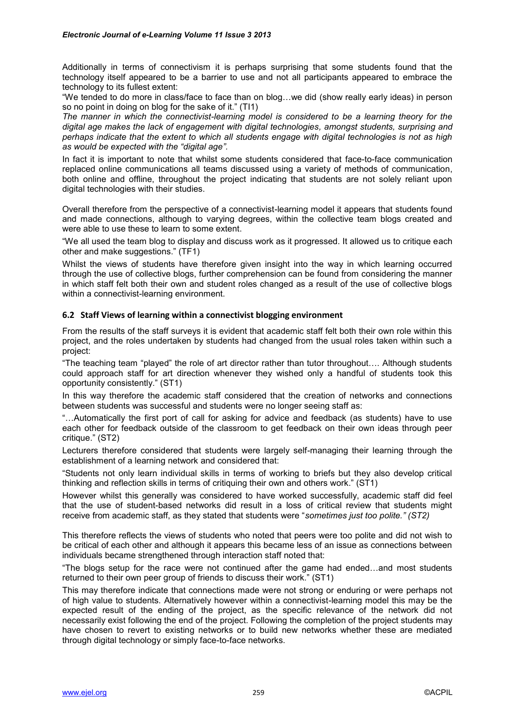Additionally in terms of connectivism it is perhaps surprising that some students found that the technology itself appeared to be a barrier to use and not all participants appeared to embrace the technology to its fullest extent:

"We tended to do more in class/face to face than on blog…we did (show really early ideas) in person so no point in doing on blog for the sake of it." (TI1)

*The manner in which the connectivist-learning model is considered to be a learning theory for the digital age makes the lack of engagement with digital technologies, amongst students, surprising and perhaps indicate that the extent to which all students engage with digital technologies is not as high as would be expected with the "digital age".*

In fact it is important to note that whilst some students considered that face-to-face communication replaced online communications all teams discussed using a variety of methods of communication, both online and offline, throughout the project indicating that students are not solely reliant upon digital technologies with their studies.

Overall therefore from the perspective of a connectivist-learning model it appears that students found and made connections, although to varying degrees, within the collective team blogs created and were able to use these to learn to some extent.

"We all used the team blog to display and discuss work as it progressed. It allowed us to critique each other and make suggestions." (TF1)

Whilst the views of students have therefore given insight into the way in which learning occurred through the use of collective blogs, further comprehension can be found from considering the manner in which staff felt both their own and student roles changed as a result of the use of collective blogs within a connectivist-learning environment.

## **6.2 Staff Views of learning within a connectivist blogging environment**

From the results of the staff surveys it is evident that academic staff felt both their own role within this project, and the roles undertaken by students had changed from the usual roles taken within such a project:

"The teaching team "played" the role of art director rather than tutor throughout…. Although students could approach staff for art direction whenever they wished only a handful of students took this opportunity consistently." (ST1)

In this way therefore the academic staff considered that the creation of networks and connections between students was successful and students were no longer seeing staff as:

"…Automatically the first port of call for asking for advice and feedback (as students) have to use each other for feedback outside of the classroom to get feedback on their own ideas through peer critique." (ST2)

Lecturers therefore considered that students were largely self-managing their learning through the establishment of a learning network and considered that:

"Students not only learn individual skills in terms of working to briefs but they also develop critical thinking and reflection skills in terms of critiquing their own and others work." (ST1)

However whilst this generally was considered to have worked successfully, academic staff did feel that the use of student-based networks did result in a loss of critical review that students might receive from academic staff, as they stated that students were "*sometimes just too polite." (ST2)*

This therefore reflects the views of students who noted that peers were too polite and did not wish to be critical of each other and although it appears this became less of an issue as connections between individuals became strengthened through interaction staff noted that:

"The blogs setup for the race were not continued after the game had ended…and most students returned to their own peer group of friends to discuss their work." (ST1)

This may therefore indicate that connections made were not strong or enduring or were perhaps not of high value to students. Alternatively however within a connectivist-learning model this may be the expected result of the ending of the project, as the specific relevance of the network did not necessarily exist following the end of the project. Following the completion of the project students may have chosen to revert to existing networks or to build new networks whether these are mediated through digital technology or simply face-to-face networks.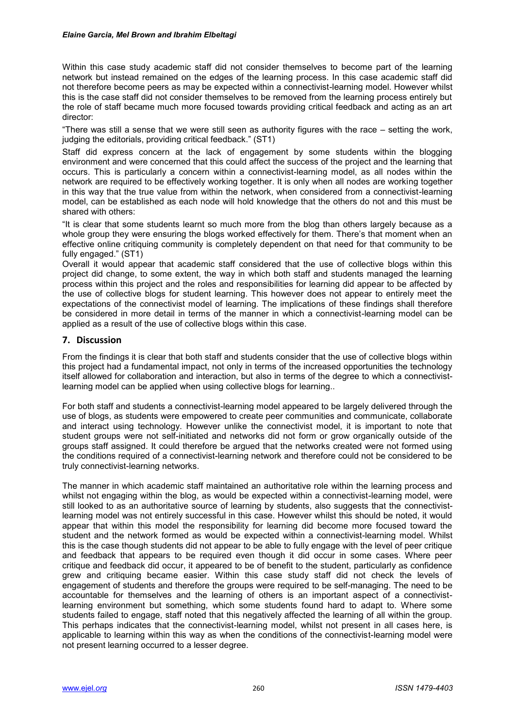Within this case study academic staff did not consider themselves to become part of the learning network but instead remained on the edges of the learning process. In this case academic staff did not therefore become peers as may be expected within a connectivist-learning model. However whilst this is the case staff did not consider themselves to be removed from the learning process entirely but the role of staff became much more focused towards providing critical feedback and acting as an art director:

"There was still a sense that we were still seen as authority figures with the race – setting the work, judging the editorials, providing critical feedback." (ST1)

Staff did express concern at the lack of engagement by some students within the blogging environment and were concerned that this could affect the success of the project and the learning that occurs. This is particularly a concern within a connectivist-learning model, as all nodes within the network are required to be effectively working together. It is only when all nodes are working together in this way that the true value from within the network, when considered from a connectivist-learning model, can be established as each node will hold knowledge that the others do not and this must be shared with others:

"It is clear that some students learnt so much more from the blog than others largely because as a whole group they were ensuring the blogs worked effectively for them. There's that moment when an effective online critiquing community is completely dependent on that need for that community to be fully engaged." (ST1)

Overall it would appear that academic staff considered that the use of collective blogs within this project did change, to some extent, the way in which both staff and students managed the learning process within this project and the roles and responsibilities for learning did appear to be affected by the use of collective blogs for student learning. This however does not appear to entirely meet the expectations of the connectivist model of learning. The implications of these findings shall therefore be considered in more detail in terms of the manner in which a connectivist-learning model can be applied as a result of the use of collective blogs within this case.

## **7. Discussion**

From the findings it is clear that both staff and students consider that the use of collective blogs within this project had a fundamental impact, not only in terms of the increased opportunities the technology itself allowed for collaboration and interaction, but also in terms of the degree to which a connectivistlearning model can be applied when using collective blogs for learning..

For both staff and students a connectivist-learning model appeared to be largely delivered through the use of blogs, as students were empowered to create peer communities and communicate, collaborate and interact using technology. However unlike the connectivist model, it is important to note that student groups were not self-initiated and networks did not form or grow organically outside of the groups staff assigned. It could therefore be argued that the networks created were not formed using the conditions required of a connectivist-learning network and therefore could not be considered to be truly connectivist-learning networks.

The manner in which academic staff maintained an authoritative role within the learning process and whilst not engaging within the blog, as would be expected within a connectivist-learning model, were still looked to as an authoritative source of learning by students, also suggests that the connectivistlearning model was not entirely successful in this case. However whilst this should be noted, it would appear that within this model the responsibility for learning did become more focused toward the student and the network formed as would be expected within a connectivist-learning model. Whilst this is the case though students did not appear to be able to fully engage with the level of peer critique and feedback that appears to be required even though it did occur in some cases. Where peer critique and feedback did occur, it appeared to be of benefit to the student, particularly as confidence grew and critiquing became easier. Within this case study staff did not check the levels of engagement of students and therefore the groups were required to be self-managing. The need to be accountable for themselves and the learning of others is an important aspect of a connectivistlearning environment but something, which some students found hard to adapt to. Where some students failed to engage, staff noted that this negatively affected the learning of all within the group. This perhaps indicates that the connectivist-learning model, whilst not present in all cases here, is applicable to learning within this way as when the conditions of the connectivist-learning model were not present learning occurred to a lesser degree.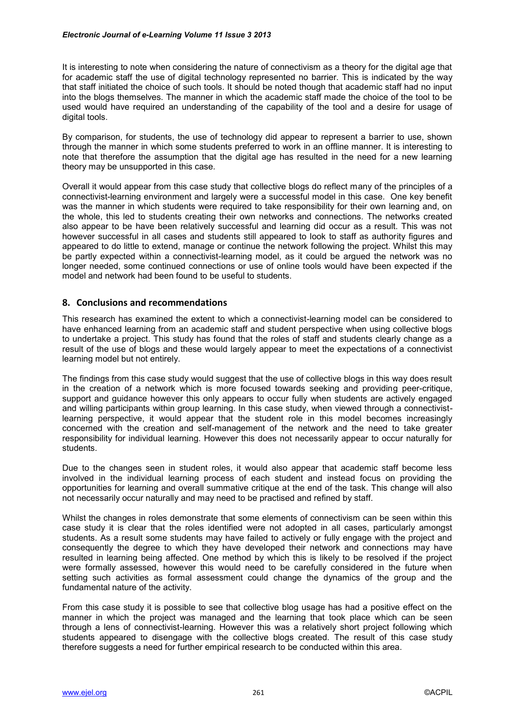It is interesting to note when considering the nature of connectivism as a theory for the digital age that for academic staff the use of digital technology represented no barrier. This is indicated by the way that staff initiated the choice of such tools. It should be noted though that academic staff had no input into the blogs themselves. The manner in which the academic staff made the choice of the tool to be used would have required an understanding of the capability of the tool and a desire for usage of digital tools.

By comparison, for students, the use of technology did appear to represent a barrier to use, shown through the manner in which some students preferred to work in an offline manner. It is interesting to note that therefore the assumption that the digital age has resulted in the need for a new learning theory may be unsupported in this case.

Overall it would appear from this case study that collective blogs do reflect many of the principles of a connectivist-learning environment and largely were a successful model in this case. One key benefit was the manner in which students were required to take responsibility for their own learning and, on the whole, this led to students creating their own networks and connections. The networks created also appear to be have been relatively successful and learning did occur as a result. This was not however successful in all cases and students still appeared to look to staff as authority figures and appeared to do little to extend, manage or continue the network following the project. Whilst this may be partly expected within a connectivist-learning model, as it could be argued the network was no longer needed, some continued connections or use of online tools would have been expected if the model and network had been found to be useful to students.

## **8. Conclusions and recommendations**

This research has examined the extent to which a connectivist-learning model can be considered to have enhanced learning from an academic staff and student perspective when using collective blogs to undertake a project. This study has found that the roles of staff and students clearly change as a result of the use of blogs and these would largely appear to meet the expectations of a connectivist learning model but not entirely.

The findings from this case study would suggest that the use of collective blogs in this way does result in the creation of a network which is more focused towards seeking and providing peer-critique, support and guidance however this only appears to occur fully when students are actively engaged and willing participants within group learning. In this case study, when viewed through a connectivistlearning perspective, it would appear that the student role in this model becomes increasingly concerned with the creation and self-management of the network and the need to take greater responsibility for individual learning. However this does not necessarily appear to occur naturally for students.

Due to the changes seen in student roles, it would also appear that academic staff become less involved in the individual learning process of each student and instead focus on providing the opportunities for learning and overall summative critique at the end of the task. This change will also not necessarily occur naturally and may need to be practised and refined by staff.

Whilst the changes in roles demonstrate that some elements of connectivism can be seen within this case study it is clear that the roles identified were not adopted in all cases, particularly amongst students. As a result some students may have failed to actively or fully engage with the project and consequently the degree to which they have developed their network and connections may have resulted in learning being affected. One method by which this is likely to be resolved if the project were formally assessed, however this would need to be carefully considered in the future when setting such activities as formal assessment could change the dynamics of the group and the fundamental nature of the activity.

From this case study it is possible to see that collective blog usage has had a positive effect on the manner in which the project was managed and the learning that took place which can be seen through a lens of connectivist-learning. However this was a relatively short project following which students appeared to disengage with the collective blogs created. The result of this case study therefore suggests a need for further empirical research to be conducted within this area.